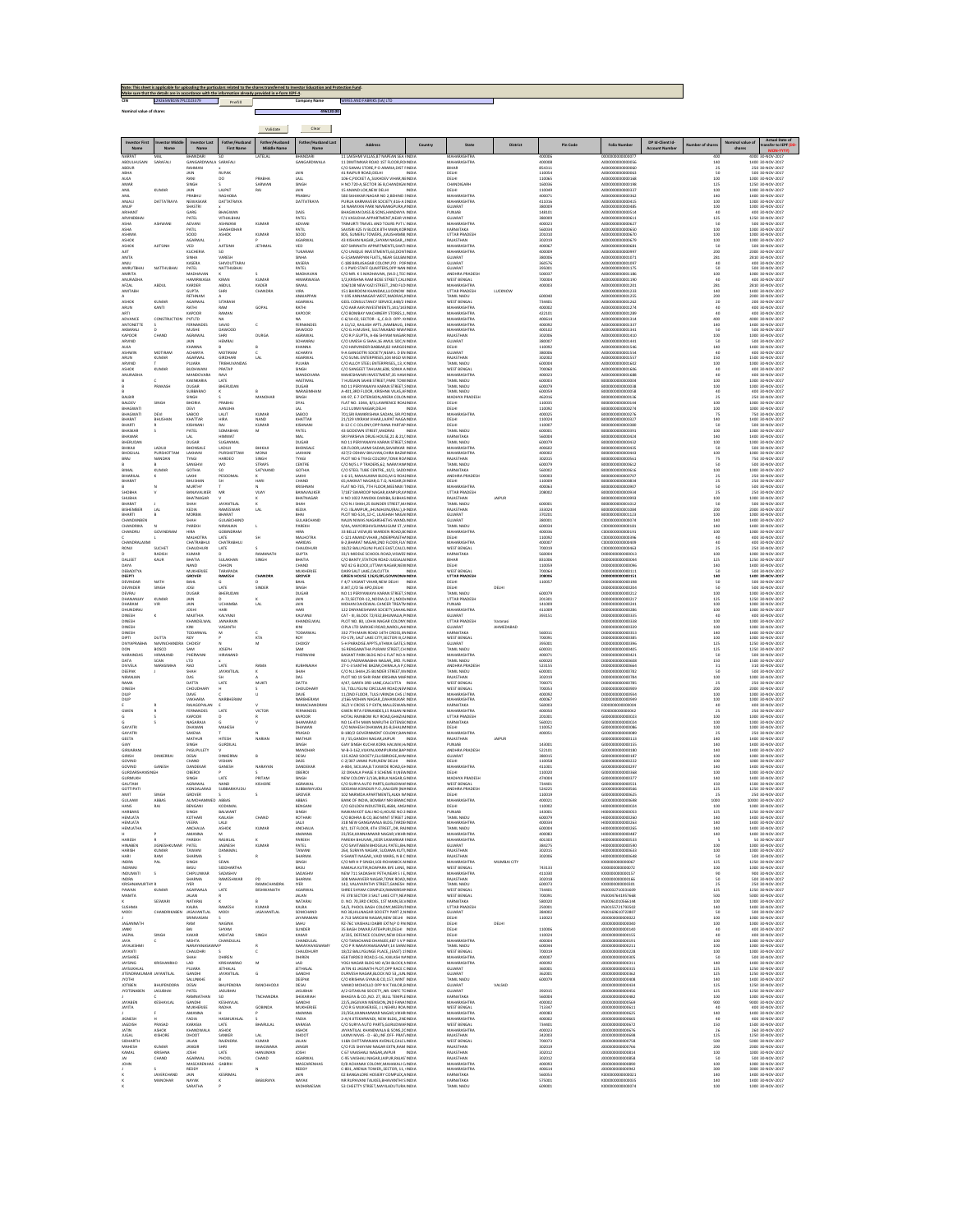| Note: This sheet is applicable for uploading the particulars related to the shares transferred to investor Education and Protection Fund. |                       |         |                     |                            |  |  |  |  |  |
|-------------------------------------------------------------------------------------------------------------------------------------------|-----------------------|---------|---------------------|----------------------------|--|--|--|--|--|
| Make sure that the details are in accordance with the information already provided in e-form IEPF-4.                                      |                       |         |                     |                            |  |  |  |  |  |
| CIN                                                                                                                                       | L29265WB1957PLC023379 | Profill | <b>Company Name</b> | WIRES AND FABRIKS (SA) LTD |  |  |  |  |  |
| Nominal value of shares                                                                                                                   |                       |         | 496120.00           |                            |  |  |  |  |  |

|                                           |                                      |                                  |                                     | Validate                     |                                    |                                                                                        |                                          |             |                  |                                          |                                         | Actual Date of                        |
|-------------------------------------------|--------------------------------------|----------------------------------|-------------------------------------|------------------------------|------------------------------------|----------------------------------------------------------------------------------------|------------------------------------------|-------------|------------------|------------------------------------------|-----------------------------------------|---------------------------------------|
| restor First<br>Name                      | Nar                                  | vestor Last<br>Nam               | <b>First Name</b>                   | Father/Husban<br>Middle Name | <b>Name</b>                        | <b>Address</b><br>Country                                                              | State                                    | District    | Pin Code         | Folio N                                  | DP Id-Client Id-<br>ber of share        | ansfer to IEPF (DI                    |
|                                           |                                      |                                  |                                     |                              |                                    | 11 LAKSHMI VILLAS, 87 NAPEAN SEA                                                       |                                          |             |                  | 0000000000000077                         |                                         | 4000 30-NOV-201                       |
| ABDULHUSAIN<br>ABDUR                      | SARAFALI                             | GANGARDIWALA SARAFAL<br>RAHMAN   |                                     |                              | GANGARDIWALA                       | 11 DIMTIMKAR ROAD 1ST FLOOR, RO INDIA<br>C/O SAMAJ STORE, P O ARARJA, DIST FINDIA      | MAHARASHTRA<br>BIHAR                     |             | 400008<br>854311 | A00000000000056<br>A00000000000060       | 140<br>$\overline{25}$                  | 1400 30-NOV-2017<br>250 30-NOV-2017   |
| ABHA<br>ALKA                              |                                      | <b>JAIN</b><br>RANI              | <b>RUPAK</b><br>DO                  | PRABHA                       | LALL                               | 41 RAIPUR ROAD, DELHI<br>106-C, POCKET A, SUKHDEV VIHAR, NEINDIA                       | DELHI<br>DELHI                           |             | 110054<br>110065 | A00000000000063<br>A00000000000168       | 100                                     | 500 30-NOV-2017<br>1000 30-NOV-2017   |
| AMAR<br>ANIL                              | KUMAR                                | SINGH<br>JAIN                    | LAJPAT                              | SARWAN<br>RAI                | SINGH<br>JAIN                      | H NO 720-A, SECTOR 36 B, CHANDIGA INDIA<br>15 ANAND LOK, NEW DELHI<br><b>INDIA</b>     | CHANDIGARE<br>DELHI                      |             | 160036<br>110049 | 400000000000198<br>A000000000000337      | 125<br>100                              | 1250 30-NOV-2017<br>1000 30-NOV-2017  |
| ANIL<br>ANJALI                            | DATTATRAYA                           | PRABHU<br>NEWASKAR               | RAGHOBA<br>DATTATRAYA               |                              | PRABHU<br><b>DATTATRAYA</b>        | 580 SAHAKAR NAGAR NO 2.BEHIND ! INDIA<br>PURUA KARMAVEER SOCIETY,416-A IINDIA          | <b>MAHARASHTRA</b><br><b>MAHARASHTRA</b> |             | 400071<br>411016 | A000000000000362<br>A00000000000415      | 140<br>100                              | 1400 30-NOV-2017<br>1000 30-NOV-2017  |
| ANUP<br>ARIHANT                           |                                      | SHASTRI<br>GARG                  | <b>BHAGWAN</b>                      |                              | DASS                               | 14 NARAYAN PARK NAVBANGPURA, IINDIA<br>BHAGWAN DASS & SONS, HANDIAYA INDIA             | GUJARAT<br>PUNJAB                        |             | 380009<br>148101 | A00000000000485<br>A000000000000514      | 100<br>40                               | 1000 30-NOV-2017<br>400 30-NOV-2017   |
| ARVINDBHA<br><b>ASHA</b>                  | ASHWANI                              | PATEL<br>ADVAN                   | <b>WTHALBHAI</b><br><b>ASHWANI</b>  | KUMAR                        | PATEL<br>ADVANI                    | F/1 VASUDHA APPARTMENT, NEAR V INDIA<br>TRIMURTI TRAVEL AND TOURS PVT L'INDIA          | GUJARAT<br><b>MAHARASHTRA</b>            |             | 380009<br>400023 | A00000000000611<br>A00000000000627       | 125<br>50                               | 1250 30-NOV-2017<br>500 30-NOV-2017   |
| ASHA<br><b>ASHIMA</b>                     |                                      | PATIL<br>SOOD                    | SHASHIDHAI<br><b>ASHOK</b>          | KUMAR                        | PATIL<br><b>SOOD</b>               | SAVISRI 425 IV BLOCK STH MAIN, KOFINDIA<br>805, SUMERU TOWERS, KAUSHAMBI INDIA         | KARNATAKA<br>UTTAR PRADESH               |             | 560034<br>201010 | A00000000000650<br>A00000000000670       | 100<br>100                              | 1000 30-NOV-2017<br>1000 30-NOV-2017  |
| ASHOK                                     |                                      | AGARWAL                          |                                     |                              | AGARWAI                            | 43 KISHAN NAGAR, SHYAM NAGAR, JINDIA                                                   | RAJASTHAN                                |             | 302019           | ADDDDDDDDDDDG78                          | 100                                     | 1000 30-NOV-2017                      |
| <b>ASHOK</b><br><b>AIIT</b>               | AJITSINH                             | VED<br>KUCHERIA                  | <b>AIITSINH</b><br>SO.              | <b>JETHMAL</b>               | VED<br>TUKARAM                     | 607 SHRINATH APPARTMENTS, SHATI INDIA<br>C/O UNIQUE INVESTMENTS.63.DON1INDIA           | <b>MAHARASHTRA</b><br>MAHARASHTRA        |             | 400067<br>400009 | A00000000000681<br>A00000000000997       | 50<br>200                               | 500 30-NOV-2017<br>2000 30-NOV-2017   |
| ANITA<br>ANJU                             |                                      | SINHA<br>KASERA                  | VARESH<br>SHIVDUTTARAI              |                              | SINHA<br>KASERA                    | G-3, SAMARPAN FLATS, NEAR GULBA INDIA<br>C-188 BIRLASAGAR COLONY, PO : POFINDIA        | GUJARAT<br>GUJARAT                       |             | 380006<br>360576 | A000000000001071<br>A000000000001097     | 281<br>40                               | 2810 30-NOV-2013<br>400 30-NOV-2017   |
| <b>AMRITRHA</b><br>AMRITA                 | NATTHUBHA                            | PATEL<br>MADHAVAN                | NATTHUBHAI                          |                              | PATEL<br>MADHAVAN                  | C-1 PWD STAFF QUARTERS, OPP NAN INDIA<br>C/O MR. K S MADHAVAN, (M.D.), TEC INDIA       | GUJARAT<br>ANDHRA PRADESH                |             | 395001<br>500037 | A000000000001175<br>A000000000001186     | 50<br>100                               | 500 30-NOV-2017<br>1000 30-NOV-2017   |
| ANURADHA<br>AFZAL                         | ABDUL                                | <b>HAMIRWASIA</b><br>KARDER      | KIRAN<br>ABDUL                      | KUMAR<br>KADER               | <b>HIMARWASIA</b><br><b>ISMAIL</b> | 1/2 KRISHNA RAM BOSE STREET, CALLINDIA<br>106/108 NEW KAZI STREET, 2ND FLO INDIA       | WEST BENGAL<br><b>MAHARASHTRA</b>        |             | 700004<br>400003 | A000000000001190<br>A000000000001201     | 40<br>281                               | 400 30-NOV-2012<br>2810 30-NOV-2017   |
| AMITABH                                   |                                      | <b>GUPTA</b><br>RETHNAM          | SHRI                                | CHANDRA                      | <b>VIRA</b><br>ANAJAPPAN           | 151 BAIRDONI KHANDAK, LUCKNOW INDIA<br>Y-195 ANNANAGAR WEST, MADRAS, HNDIA             | UTTAR PRADESH<br>TAMIL NADLL             | LUCKNOW     | 600040           | A000000000001233<br>A000000000001255     | 140<br>200                              | 1400 30-NOV-2017<br>2000 30-NOV-2017  |
| ASHOK<br>ARUN                             | KUMAR<br>KANTI                       | AGARWAL<br>RATHI                 | SITARAM<br>RAM                      | GOPAL                        | AGARWAL<br>RATHI                   | GEEL CONSULTANCY SERVICE 448/2 IINDIA<br>C/O AAR AAR INVESTMENTS.141/143 INDIA         | WEST BENGAL<br><b>MAHARASHTRA</b>        |             | 734401<br>400002 | A000000000001262<br>A000000000001274     | $\frac{20}{40}$                         | 200 30-NOV-2017<br>400 30-NOV-2017    |
| ARTI                                      |                                      | KAPOOR                           | RAMAN                               |                              | KAPOOR                             | C/O BOMBAY MACHINERY STORES, 1, INDIA                                                  | MAHARASHTRA                              |             | 422101           | A000000000001289                         | 40                                      | 400 30-NOV-2017                       |
| ADVANCE<br>ANTONETTE                      | CONSTRUCTION                         | PVTLTD<br><b>FERNANDES</b>       | NA.<br>SAVIO                        | c                            | <b>NA</b><br>FERNANDES             | C-6/14-02, SECTOR - 6, C.B.D. OPP. KINDIA<br>A 11/12, KAILASH APTS, RAMBAUG, HNDIA     | <b>MAHARASHTRA</b><br><b>MAHARASHTRA</b> |             | 400614<br>400092 | A000000000001314<br>A000000000001337     | 400<br>140                              | 4000 30-NOV-2017<br>1400 30-NOV-2017  |
| AKBARALI<br>KAPOOR                        | CHAND                                | MUSHE<br>AGRAWAL                 | <b>DAWOOD</b><br>SHRI               | DURGA                        | DAWOOD<br>AGRAWAL                  | C/O G.H.MUSHE, SULTANABAD NIW/INDIA<br>C/O R P GUPTA A RS SHYAM NAGARINDIA             | MAHARASHTRA<br>RAJASTHAN                 |             | 400102<br>302006 | A000000000001341<br>A000000000001410     | 50<br>100                               | 500 30-NOV-2017<br>1000 30-NOV-2017   |
| ARVIND<br>ALKA                            |                                      | JAIN<br>KHANNA                   | <b>HEMRA</b>                        | B                            | SOHANRAJ<br>KHANNA                 | C/O UMESH G SHAH, 16 AMUL SOC, NINDIA<br>C/O HARVINDER BABBAR, 82 HARGOIINDIA          | GUJARAT<br>DELHI                         |             | 380007<br>110092 | A000000000001441<br>A00000000001546      | $\frac{50}{140}$                        | 500 30-NOV-2017<br>1400 30-NOV-2017   |
| ASHWIN<br>ARUN                            | MOTRAN<br>KUMAR                      | ACHARYA<br>AGARWAL               | MOTIRAN<br>GIRDHARI                 | LAL                          | ACHARYA<br>AGARWAI                 | 9-A GANGOTRI SOCIETY, NEAR L D EN INDIA<br>C/O SUNIL ENTERPRISES, 104 MGD MINDIA       | GUJARAT<br>RAJASTHAN                     |             | 380006<br>302002 | A000000000001554<br>A000000000001557     | 40<br>150                               | 400 30-NOV-2017<br>1500 30-NOV-2017   |
| ARVIND<br><b>ASHOK</b>                    | KUMAF                                | PUJARA<br>BUDHWAN                | TRIBHUVANDAS<br>PRATAE              |                              | PUJARA<br>SINGH                    | C/O ALLOY STEEL ENTERPRISES 13, KINDIA<br>C/O SANGEET TAHLANI, 608, SOMA AINDIA        | TAMIL NADU<br>WEST BENGAL                |             | 600004<br>700060 | A000000000001602<br>A000000000001606     | 100                                     | 1000 30-NOV-2017<br>400 30-NOV-2017   |
| ANURADHA                                  |                                      | MANDOVARA<br>KAKNKARIA           | RAVI<br>LATE                        |                              | MANDOVARA<br>HASTIMAL              | MAHESHWARI INVESTMENT, 35 HAM INDIA<br>7 HUSSAIN SAHIB STREET, PARK TOW INDIA          | <b>MAHARASHTRA</b><br>TAMIL NADU         |             | 400023<br>600003 | A00000000001688<br>800000000000000       | $^{40}_{40}$<br>100                     | 400 30-NOV-2017<br>1000 30-NOV-2017   |
|                                           | PRAKASH                              | <b>DUGAR</b><br>SUBBARAO         | BHERUDAN                            |                              | DUGAR<br>NARASIMHAM                | NO 11 PERIYANAIYA KARAN STREET, SINDIA<br>A-401.3RD FLOOR, KRISHNA VILAS AFINDIA       | TAMIL NADU<br>TAMIL NADU                 |             | 600079<br>600059 | 8000000000000038<br>8000000000000058     | 100<br>40                               | 1000 30-NOV-2017<br>400 30-NOV-2017   |
| <b>BALBIS</b>                             |                                      | SINGH                            |                                     | MANOHAR                      | SINGH                              | HX-97, E-7 EXTENSION, ARERA COLONINDIA                                                 | MADHYA PRADESH                           |             | 462016           | 8000000000000136                         | 25<br>100                               | 250 30-NOV-2017                       |
| BALDEV<br>BHAGWAT                         | SINGH                                | <b>BHORIA</b><br>DEVI            | PRABHU<br>AANUHA                    |                              | <b>DYAL</b><br>LAL                 | FLAT NO. 104A, B/3, LAWRENCE ROAINDIA<br>J-12 LUXMI NAGAR, DELHI                       | DELHI<br>DELHI                           |             | 110035<br>110092 | 8000000000000144<br>8000000000000274     | 100                                     | 1000 30-NOV-2017<br>1000 30-NOV-2017  |
| BHAGWATI<br>BHARAT                        | DEVI<br><b>BHUSHAN</b>               | SABOO<br>KHATTAR                 | LALIT<br><b>HIRA</b>                | KUMAR<br><b>NAND</b>         | SABOO<br>KHATTAR                   | 701, SRI RAMKRISHNA SADAN, SIR. PC INDIA<br>21/129 VIKRAM VIHAR LAJPAT NAGAINDIA       | <b>MAHARASHTRA</b><br>DELHI              |             | 400025<br>110024 | 8000000000000276<br>8000000000000327     | $\frac{75}{140}$                        | 750 30-NOV-2017<br>1400 30-NOV-2017   |
| BHARTI<br><b>BHASKAR</b>                  | s                                    | KISHNAN<br>PATEL                 | RAJ<br>SOMABHAI                     | KUMAR                        | KISHNANI<br>PATEL                  | B-12 C C COLONY, OPP RANA PARTAP INDIA<br>43 GODOWN STREET, MADRAS<br><b>INDIA</b>     | DELHI<br>TAMIL NADU                      |             | 110007<br>600001 | 8000000000000380<br>8000000000000391     | $\frac{50}{100}$                        | 500 30-NOV-2017<br>1000 30-NOV-2017   |
| BHAWAR<br>BHERUDAN                        |                                      | LAL<br>DUGAR                     | HIMMAT<br>SUGANMAI                  |                              | MAL<br>DUGAR                       | SRI PARSHVA DRUG HOUSE, 21 & 21/ INDIA<br>NO 11 PERIYANAIYA KARAN STREET.SINDIA        | KARNATAKA<br>TAMIL NADU                  |             | 560004<br>600079 | 8000000000000424<br>8000000000000432     | 140<br>100                              | 1400 30-NOV-2017<br>1000 30-NOV-2017  |
| BHIKAJI<br>BHOGILAL                       | LADUJI<br>PURSHOTTAM                 | BHONSALE<br>LAKHANI              | LADUJI<br>PURSHOTTAM                | BHIKAII<br>MONJI             | <b>BHONSALE</b><br>LAKHANI         | GR.FLOOR.LAXMI SADAN.SAVARKAR INDIA<br>427/2 ODHAV BHUVAN, CHIRA BAZAFINDIA            | <b>MAHARASHTRA</b><br><b>MAHARASHTRA</b> |             | 400602<br>400002 | 8000000000000435<br>800000000000044      | 50<br>100                               | 500 30-NOV-2012<br>1000 30-NOV-2017   |
| BRAJ                                      | NANDAN                               | TYAGI<br>SANGHV                  | HARDEO                              | SINGH<br><b>STRAPS</b>       | TYAGI<br>CENTRE                    | PLOT NO 6 TYAGI COLONY, TONK ROJINDIA<br>C/O M/S L P TRADERS, 62, NARAYAN INDIA        | RAJASTHAN<br>TAMIL NADU                  |             | 302015<br>600079 | 8000000000000561<br>8000000000000612     | 75                                      | 750 30-NOV-2017<br>500 30-NOV-2017    |
| BIMAL                                     | KUMAR                                | GOTHIA                           | wo<br>SO                            | SATYAAND                     | GOTHIA                             | C/O STEEL TUBE CENTRE, 10/2, SADDINDIA                                                 | KARNATAKA                                |             | 560002           | 8000000000000616                         | 50<br>100                               | 1000 30-NOV-2017<br>250 30-NOV-2012   |
| BIHARILAL<br>BHARAT                       |                                      | LAKHI<br>BHUSHAN                 | PESOOMAL<br>SH                      | HARI                         | LAKHI<br>CHAND                     | 1-6-15. MAHALAXMI BLDG.M G ROAIINDIA<br>65, HAKIKAT NAGAR, G.T.Q. NAGAR, D INDIA       | ANDHRA PRADESH<br>DELHI                  |             | 500003<br>110009 | 8000000000000707<br>8000000000000834     | $\overline{25}$<br>$rac{25}{50}$        | 250 30-NOV-2017                       |
| SHOBHA                                    | $_{\rm N}$<br>v                      | MURTHY<br>BANAVALIKER            | MR                                  | VIJAY                        | KRISHNAN<br>BANAVALIKER            | FLAT NO-705, 7TH FLOOR, MEENAXI TINDIA<br>7/187 SWARDOP NAGAR, KANPUR, KAINDIA         | MAHARASHTRA<br>UTTAR PRADESH             |             | 400063<br>208002 | 8000000000000907<br>8000000000000934     | $\boldsymbol{\mathsf{2S}}$              | 500 30-NOV-2017<br>250 30-NOV-2017    |
| SHUBHA<br>BHARAT                          |                                      | <b>BHATNAGAR</b><br>SHAH         | v<br><b>JAYANTILAL</b>              |                              | BHATNAGAR<br>SHAH                  | H NO 1022 PANOKA DARIBA SUBHASINDIA<br>C/O N J SHAH.25 BUNDER STREET.M/INDIA           | RAJASTHAN<br>TAMIL NADU                  | JAIPUR      | 600001           | 8000000000000993<br>8000000000001012     | 100<br>50                               | 1000 30-NOV-2017<br>500 30-NOV-2012   |
| <b>BISHEMBER</b><br><b>BHARTI</b>         | LAL                                  | KEDIA<br>MORBIA                  | RAMESWAR<br>BHARAT                  | LAL                          | KEDIA<br>BHAI                      | P.O. ISLAMPUR, JHUNJHUNU(RAJ.), JHNDIA<br>PLOT NO-524, 12-C, LILASHAH NAGA INDIA       | RAJASTHAN<br>GUJARAT                     |             | 333024<br>370201 | 800000000000108<br>8000000000001123      | 200<br>100                              | 2000 30-NOV-2017<br>1000 30-NOV-2017  |
| CHANDANBEN<br>CHANDRIKA                   | N                                    | SHAH<br>PAREKH                   | GULABCHAND<br>NIRANJAN              |                              | GULABCHAND<br>PAREKH               | NALIN NIWAS NAGARSHETHS WAND INDIA<br>9/4A, MAYORSHIVSUNMUGUM ST., VINDIA              | GUJARAT<br><b>TAMIL NADU</b>             |             | 380001<br>600034 | 000000000000074<br>000000000000181       | 140<br>140                              | 1400 30-NOV-2017<br>1400 30-NOV-2017  |
| <b>CHANDRU</b>                            | <b>GOVINDRAM</b>                     | <b>HIRA</b>                      | GOBINDRAM                           |                              | <b>HIRA</b>                        | 33 BELLE VIEW 85 WARDEN ROAD BUNDIA                                                    | <b>MAHARASHTRA</b>                       |             | 400036           | 000000000000191                          | 100                                     | 1000 30-NOV-2017                      |
| CHANDRALAXM                               |                                      | MALHOTRA<br>CHATRABHUJ           | LATE<br>CHATRABHUJ                  | SH                           | MALHOTRA<br>HARIDAS                | C-121 ANAND VIHAR, INDERPRASTH/INDIA<br>B-2, BHARAT NAGAR, 2ND FLOOR, FLA INDIA        | DELHI<br>MAHARASHTRA                     |             | 110092<br>400007 | 000000000000396<br>CD00000000000409      | $^{40}_{40}$                            | 400 30-NOV-2017<br>400 30-NOV-2017    |
| RONJI<br>D                                | SUCHET<br>RADISH                     | CHAUDHURI<br><b>KUMAR</b>        | LATE<br>D                           | RAMANATH                     | CHAUDHUR<br>GUPTA                  | 18/22 BALLYGUNJ PLACE EAST, CALCLINDIA<br>33/1 MIDDLE SCHOOL ROAD, VISWES INDIA        | WEST BENGAL<br>KARNATAKA                 |             | 700019<br>560004 | 000000000000463<br>0000000000000013      | $\boldsymbol{\mathsf{2S}}$<br>100       | 250 30-NOV-2017<br>1000 30-NOV-2017   |
| DALIEET<br>DAYA                           | KAUR                                 | BHATIA<br>NAND                   | SULAKHAN<br>CHHON                   | SINGH                        | BHATIA<br>CHAND                    | C/O BANTY STATION ROAD JUGSALA INDIA<br>WZ 42 G BLOCK, UTTAM NAGAR, NEW INDIA          | BIHAR<br>DELHI                           |             | 831006<br>110059 | 000000000000044<br>000000000000096       | 125                                     | 1250 30-NOV-2017<br>1400 30-NOV-2017  |
| DEBADITYA<br>DEEPTI                       |                                      | MUKHERJEE<br>GROVER              | TARAPADA<br>RAMESH                  | <b>CHANDRA</b>               | MUKHERJEE<br>GROVER                | DA99 SALT LAKE, CALCUTTA<br>GREEN HOUSE 126/G/85, GOVINDNA INDIA                       | WEST BENGAL<br>UTTAR PRADESH             |             | 700064<br>208006 | 0000000000000111<br>000000000000151      | 140<br>50<br>140                        | 500 30-NOV-2017<br>1400 30-NOV-2017   |
| DEVINDAR<br><b>DEVINDER</b>               | NATH<br>SINGH                        | BAHL<br>JOG1                     | G<br>LATE                           | SINDER                       | BAHL<br>SINGH                      | F 4/7 VASANT VIHAR, NEW DELHI<br>INDM<br>8 JAT.C/O S6 APO.DELHI<br>INDIA               | DELHI<br>DELHI                           | DELHI       | 110057           | D000000000000198<br>0000000000000204     | $\frac{50}{50}$                         | 500 30-NOV-2017<br>500 30-NOV-2017    |
| DEVRAJ                                    |                                      | DUGAR                            | BHERUDAN                            |                              | DUGAR                              | NO 11 PERIYANIAYA KARAN STREET, SINDIA                                                 | TAMIL NADU                               |             | 600079           | 000000000000212                          | 100<br>125                              | 1000 30-NOV-2017                      |
| DHANANJAY<br>DHARAM                       | KUMAR<br>VIR                         | JAIN<br>JAIN                     | D<br>UCHAMBA                        | LAL                          | JAIN<br>$1\mathrm{AlN}$            | A-72, SECTOR-12, NODIA (U.P.), NOID INDIA<br>MOHAN DAIOSWAL CANCER TREATMINDIA         | UTTAR PRADESH<br>PUNJAB                  |             | 201301<br>141009 | 000000000000217<br>000000000000241       | 100                                     | 1250 30-NOV-2017<br>1000 30-NOV-2017  |
| DHUNDIRAJ<br>DINESH                       |                                      | <b>JOSHI</b><br>MAJITHIA         | HARI<br>KALYANI                     |                              | HARI<br>KALYANJI                   | 122 DNYANESHWAR SOCIETY, SAHAK INDIA<br>CAT - III, BLOCK 72/432 BHUMALIA P INDIA       | <b>MAHARASHTRA</b><br>GUJARAT            |             | 411009<br>393151 | 000000000000286<br>000000000000335       | 100<br>40                               | 1000 30-NOV-2017<br>400 30-NOV-2017   |
| DINESH<br>DINESH                          |                                      | KHANDELWAL<br>KINI               | <b>JAINARAIN</b><br>VASANTH         |                              | KHANDELWA<br>KINI                  | PLOT NO. 80, LOHIA NAGAR COLONY INDIA<br>CIPLA LTD SARKHEI ROAD, NAROL, AH INDIA       | UTTAR PRADESH<br>GUJARAT                 | AHMEDABAD   |                  | 000000000000338<br>D00000000000339       | 100<br>100                              | 1000 30-NOV-2017<br>1000 30-NOV-2017  |
| DINESH<br>DIPTI                           | DUTTA                                | TODARWA<br>ROY                   | M                                   | KTA                          | <b>TODARWAL</b><br>ROY             | 332 7TH MAIN ROAD 14TH CROSS, IIN INDIA<br>FD-179, SALT LAKE CITY, SECTOR III, CHNDIA  | KARNATAKA<br>WEST BENGAL                 |             | 560011<br>700091 | 000000000000353<br>000000000000385       | 140<br>100                              | 1400 30-NOV-2017<br>1000 30-NOV-2017  |
| <b>DIVYAPRABHA</b><br>DON                 | NAVINCHANDRA<br>BOSCO                | CHOKSY<br>SAM                    | <b>JOSEPH</b>                       | M                            | CHOKSY<br>SAM                      | 5-H PARADISE APPTS ATHWA GATE SINDIA<br>16 RENGANATHA PURAM STREET, CHINDIA            | GUJARAT<br>TAMIL NADU                    |             | 395001<br>600031 | 0000000000000396<br>0000000000000405     | 125<br><b>125</b>                       | 1250 30-NOV-2017<br>1250 30-NOV-2013  |
| NARAINDAS<br>DATA                         | <b>HIRANAND</b><br>SCAN              | PHERWANI<br>LTD                  | HIRANAND                            |                              | PHERWAN                            | BASANT PARK BLDG NO 6 FLAT NO A INDIA<br>NO 5, PADMANABHA NAGAR, 3RD. FLINDIA          | MAHARASHTRA<br>TAMIL NADU                |             | 400071<br>600020 | 000000000000421<br>nnonnonnonses         | 50<br>150                               | 500 30-NOV-2017<br>1500 30-NOV-2017   |
| DIVVELA                                   | NARASIMHA                            | RAO                              | LATE                                | RAMA                         | KUBHNAIAH                          | 27-1-3 SANTHE BAZAR, CHIRALA, A P, (INDIA                                              | ANDHRA PRADESH                           |             | 523155           | 000000000000664                          | $\frac{31}{50}$                         | 310 30-NOV-2017                       |
| DEEPAK<br>NIRANJAN                        |                                      | SHAH<br>DAS                      | <b>JAYANTILAL</b><br>SH             |                              | SHAH<br>DAS                        | C/O N.J.SHAH.25 BUNDER STREET.M/INDIA<br>PLOT NO 19 SHRI RAM KRISHNA MAFINDIA          | TAMIL NADU<br>RAJASTHAN                  |             | 600001<br>302019 | 0000000000000782<br>000000000000784      | 100                                     | 500 30-NOV-2017<br>1000 30-NOV-2017   |
| RAMA<br>DINESH                            |                                      | DATTA<br>CHOUDHARY               | LATE                                | <b>MUKTI</b>                 | DATTA<br><b>CHOUDHAR</b>           | 4/47, GARFA 3RD LANE, CALCUTTA INDIA<br>53, TOLLYGUNJ CIRCULAR ROAD, NEV INDIA         | WEST BENGAL<br>WEST BENGAL               |             | 700075<br>700053 | 000000000000785<br>00000000000909        | 25<br>200                               | 250 30-NOV-2017<br>2000 30-NOV-2017   |
| DILIP<br>DILIP                            |                                      | DAVE<br>VAKHARIA                 | NARBHERAN                           | u                            | DAVE<br>NARBHERAM                  | 11/2ND FLOOR, TULSI VRINDA CHS L'INDIA<br>J/166 MOHAN NAGAR, DAHANUKAR INDIA           | <b>MAHARASHTRA</b><br>MAHARASHTRA        |             | 400092<br>400067 | 000000000000934<br>000000000000949       | 100<br>100                              | 1000 30-NOV-2017<br>1000 30-NOV-2017  |
| GWEN                                      |                                      | RAJAGOPALAN<br>FERNANDES         | LATE                                | <b>VICTOR</b>                | RAMACHANDRAN<br>FERNANDES          | 36/2 V CROSS S P EXTN, MALLESWAR, INDIA<br>GWEN RITA FERNANDES, 15 RAJAN N INDIA       | KARNATAKA<br>MAHARASHTRA                 |             | 560003<br>400050 | E000000000000004<br>F000000000000042     | $\begin{array}{c} 40 \\ 25 \end{array}$ | 400 30-NOV-2017<br>250 30-NOV-2017    |
|                                           | s                                    | KAPOOR<br>NAGARAJA               | G                                   | v                            | KAPOOR<br>SHAMARAC                 | HOTAL RAINBOW RLY ROAD, GHAZIAI INDIA<br>NO 16 4TH MAIN MARUTHI EXTENSIONDIA           | UTTAR PRADESH<br>KARNATAKA               |             | 201001<br>560021 | G000000000000023<br>G000000000000024     | 100<br>100                              | 1000 30-NOV-2017<br>1000 30-NOV-2017  |
| <b>GAYATRI</b><br>GAYATRI                 |                                      | DHAWAN<br>SAXENA                 | MAHESH                              |                              | DHAWAN<br>PRASAD                   | C/O MAHESH DHAWAN.81-B.SHALIN INDIA<br>B-180/2 GOVERNMENT COLONY, BAN INDIA            | DELHI<br><b>MAHARASHTRA</b>              |             | 110052<br>400051 | G000000000000086<br>600000000000085      | 100                                     | 1000 30-NOV-2017<br>250 30-NOV-2017   |
| GEETA                                     |                                      | <b>MATHUR</b><br>SINGH           | HITESH<br>GURDILAL                  | <b>NARIAN</b>                | MATHUR<br>SINGH                    | III / 55, GANDHI NAGAR, JAIPUR<br><b>INDIA</b><br>GIAY SINGH KUCHA KORA HALWAI, HINDIA | RAJASTHAN<br>PUNJAB                      | JAIPUR      | 143001           | G000000000000113<br>G000000000000155     | $\frac{25}{140}$                        | 1400 30-NOV-2017<br>1400 30-NOV-2017  |
| GIAY<br>GIRUARAN                          |                                      | PASUPULETY                       |                                     |                              | MANOHAF                            | W-B-3-162. VIJAYALAXMI PURAM. BAF INDIA                                                | ANDHRA PRADESH                           |             | 522101           | G000000000000180                         | 140<br>140                              | 1400 30-NOV-2017                      |
| GIRISH<br>GOVIND                          | DINKERRAI                            | DESAI<br>CHAND                   | DINKERRA<br>VISHAN                  | R                            | DESAI<br>DASS                      | 135 AZAD SOCIETY.ELLISBRIDGE.AHN INDIA<br>C-2/307 JANAK PURI, NEW DELHI                | GUJARAT<br>DELHI                         |             | 380015<br>110058 | G000000000000187<br>6000000000000222     | 100<br>100                              | 1000 30-NOV-2017<br>1000 30-NOV-2017  |
| GOVIND<br>GURDARS                         | GANESH<br>NGH                        | DANDEKAR<br>OBERO                | GANESH                              | NARAYAN                      | DANDEKAR<br>OBERO                  | A-804, SICILIAA, B.T.KAWDE ROAD, GHINDIA<br>32 OKHALA PHASE II SCHEME III, NEW INDIA   | <b>MAHARASHTRA</b><br>DELHI              |             | 411001<br>110020 | G000000000000297<br>G000000000000368     | 140<br>100                              | 1400 30-NOV-2017<br>1000 30-NOV-2017  |
| GURMUKH<br>GAUTAM                         |                                      | SINGH<br>AGRAWAL                 | LATE<br><b>NAND</b>                 | PRITAM<br>KISHORE            | SINGH<br>AGRAWAL                   | NEW COLONY 3/13A, BIRLA NAGAR, GINDIA<br>C/O SURVA AUTO PARTS GURUDWAFINDIA            | MADHYA PRADESH<br>WEST BENGAL            |             | 474004<br>734401 | G000000000000377<br>G000000000000551     | 140<br>150                              | 1400 30-NOV-2017<br>1500 30-NOV-2017  |
| GOTTIPATI<br>AMIT                         | SINGH                                | KONDALARAO<br><b>GROVER</b>      | SUBBARAYUDU                         | s                            | SUBBARAYUDL<br>GROVER              | SIDDANA KONDUR P.O., KALIGIRI (M/INDIA<br>102 NARMDA APARTMENTS, ALKA N/INDIA          | ANDHRA PRADES<br>DELHI                   |             | 524225<br>110019 | G000000000000566<br>G00000000000625      | 125<br>25                               | 1250 30-NOV-2017<br>250 30-NOV-2017   |
| GULAAM<br>HANS                            | ABBAS<br>RAJ                         | ALIMOHAN<br>BENGANI              | ARRAS<br>KODAMAL                    |                              | <b>ARRAS</b><br>BENGANI            | BANK OF INDIA, BOMBAY NRI BRANCINDIA<br>C/O GOLDEN INDUSTRIES 4684, ANS INDIA          | MAHARASHTRA<br>DELHI                     |             | 400021<br>110002 | GOODDOODDOOGRAF<br>H00000000000024       | 1000<br>100                             | 10000 30-NOV-2017<br>1000 30-NOV-2017 |
| HARBANS<br>HEMLATA                        |                                      | SINGH<br>KOTHARI                 | <b>BALWANT</b><br>KAILASH           | CHAND                        | SINGH<br>KOTHARI                   | NAWAN KOT GALI NO 6.HOUSE NO 2 INDIA<br>C/O BOHRA & CO,360 MINT STREET : INDIA         | PUNJAB<br>TAMIL NADU                     |             | 143001<br>600079 | H000000000000053<br>H000000000000260     | 125<br>140                              | 1250 30-NOV-2017<br>1400 30-NOV-2017  |
| HEMLATA                                   |                                      | VEERA                            | LALI                                |                              | LALI                               | 318 NEW GANGAWALA BLDG.TARDE INDIA<br>9/1 1ST ELOOP ATH STREET OR RAINOM               | <b>MAHARASHTRA</b>                       |             | 400034           | H00000000000263                          | 140                                     | 1400 30-NOV-2017                      |
| <b>HEMIATH</b>                            |                                      | <b>ANCHALLO</b><br>AMANNA        | <b>ASHOK</b><br>м                   | KI IMAS                      | <b>ANCHALLS</b><br>AMANNA          | 23/354,KANNAMWAR NAGAR, VIKHR INDIA                                                    | TAMIL NADLI<br><b>MAHARASHTRA</b>        |             | soonna<br>400083 | Hononc<br>acon<br>H00000000000487        | 140<br>140                              | 1400 30-NOV-2017<br>1400 30-NOV-2017  |
| HARESH<br>HINABEN                         | <b>JIGNESHKUM</b>                    | PAREKH<br>PATEL                  | RASIKLAI<br>JAGNESH                 | KUMAS                        | PAREKH<br>PATEL                    | PAREKH BHUVAN, VEER SAWARKAR IINDIA<br>C/O SAVITABEN BHOGILAL PATEL, BH INDIA          | MAHARASHTRA<br>GUIARAT                   |             | 401303<br>384275 | H000000000000533<br>H00000000000059C     | ×,<br>100                               | 50.30-MOV-2012<br>1000 30-NOV-2017    |
| <b>HARISH</b><br>HARI                     | KUMAR<br>RAM                         | TAWANI<br>SHARMA                 | DANAMAI                             |                              | TAWANI<br>SHARMA                   | 264, SURAYA NAGAR, SUDAMA KUTI, INDIA<br>9 SHANTI NAGAR, VAID MARG, N B C INDIA        | RAJASTHAN<br>RAJASTHAN                   |             | 302015<br>302006 | H00000000000633<br><b>MODODOODOODGAR</b> | 100<br>50                               | 1000 30-NOV-2017<br>500 30-NOV-2017   |
| INDRA<br><b>INDRANI</b>                   | PAL                                  | SINGH<br>BASU                    | SEWA<br>SIDDHARTHA                  |                              | SINGH<br>BASU                      | C/O MR H P SINGH 103-ROHANICK A INDIA<br>KAMALA KUTIR.NOAPARA BYE LANE. INDIA          | <b>MAHARASHTRA</b><br>WEST BENGAL        | MUMBAI CITY | 743133           | 1000000000000057<br>100000000000022      | 125<br>100                              | 1250 30-NOV-2017<br>1000 30-NOV-2017  |
| INDUMATI<br>INDRA                         |                                      | CHIPLUNKAR<br>SHARMA             | SADASHIV<br>RAMESHWAR               | PD                           | SADASHIV<br>SHARMA                 | NEW 711 SADASHIV PETH, NEAR S I E, INDIA<br>308 MAHAVEER NAGAR TONK ROAD INDIA         | <b>MAHARASHTRA</b><br>RAJASTHAN          |             | 411030<br>302018 | 1000000000000157<br>1000000000000166     | $\begin{array}{c} 90 \\ 50 \end{array}$ | 900 30-NOV-2017<br>500 30-NOV-2017    |
| KRISHNAN                                  | v s                                  | <b>IYER</b>                      |                                     | RAMACHANDRA                  | <b>IYER</b>                        | 142, VALAYAPATHY STREET, GANESH INDIA                                                  | TAMIL NADU                               |             | 600073           | 000000000001301                          | $_{25}$                                 | 250 30-NOV-2017                       |
| PAWAN<br>MAMTA                            | KUMAR                                | AGARWALA<br>JALAN                | LATE                                | <b>BISHWANATH</b>            | AGARWAI<br><b>JALAN</b>            | SHREE SHYAM COMPLEX, RAMKRISHI INDIA<br>FE 378 SECTOR 3 SALT LAKE CITY.NEA INDIA       | WEST BENGAL<br>WEST BENGAL               |             | 734401<br>700091 | IN30032710331609<br>IN30047641957668     | 125<br>500                              | 1250 30-NOV-2017<br>5000 30-NOV-2017  |
| <b>SUSHMA</b>                             | SESWAR                               | NATARAJ<br>KALRA                 | RAMESH                              | KUMAR                        | NATARAJ<br>KALRA                   | D. NO. 70,3RD CROSS, 1ST MAIN, SILVINDIA<br>54/3, PHOOL BAGH COLONY, MEERU' INDIA      | KARNATAKA<br>UTTAR PRADESH               |             | 580020<br>250001 | IN30061010566144<br>IN30155721793502     | 100<br>140                              | 1000 30-NOV-2017<br>1400 30-NOV-2017  |
| MODI                                      | CHANDRIKABEN                         | <b>JASAVANTLAL</b><br>SRINIVASAN | MODI<br>s                           | <b>JASAVANTLAL</b>           | SOMCHAND<br><b>JAYARAMAN</b>       | NO 38. HILLNAGAR SOCIETY PART 2. NINDIA<br>A 713 SAROJINI NAGAR, NEW DELHI INDIA       | GUJARAT<br>DELHI                         |             | 384002<br>110023 | IN30169610722807<br>1000000000000022     | $^{50}$<br>100                          | 500 30-NOV-2017<br>1000 30-NOV-2017   |
| JAGANNATH<br><b>JANKI</b>                 |                                      | RAM<br>BAI                       | NAGINA<br>SHYAM                     |                              | SAHU<br>SUNDER                     | RZ-76C VAISHALI DABRI EXTN.P O PA INDIA<br>35 BAGH DIWAR,FATEHPURI,DELHI INDIA         | DELHI<br>DELHI                           | DELHI       | 110006           | /00000000000040<br>100000000000140       | 100                                     | 1000 30-NOV-2017<br>400 30-NOV-2017   |
| <b>JASPAL</b><br>JAYA                     | SINGH                                | KAKAR<br>MEHTA                   | MEHTAB<br>CHANDULAI                 | SINGH                        | KAKAR<br>CHANDULAL                 | A/335, DEFENCE COLONY, NEW DELH INDIA<br>C/O TARACHAND DHANJEE,487 S V P INDIA         | DELHI<br>MAHARASHTRA                     |             | 110024<br>400004 | J000000000000155<br>000000000000191      | $\frac{40}{40}$<br>100                  | 400 30-NOV-2017<br>1000 30-NOV-2017   |
| JAYALKSHM<br><b>JAYANTI</b>               |                                      | NARAYANASAWMP<br>CHAUDHRI        | $\leq$                              | c                            | NARAYAIVASWAMY<br>CHAUDHURY        | C/O P R NARAYANASAWMY.14 SARA INDIA<br>18/22 BALLYGUNGE PLACE(EAST) 15 INDIA           | TAMIL NADU<br>WEST BENGAL                |             | 600044<br>700019 | 1000000000000211<br>100000000000228      | 100<br>100                              | 1000 30-NOV-2017<br>1000 30-NOV-2017  |
| JAYSHREE                                  |                                      | SHAH                             | DHIREN                              |                              | DHIREN                             | 658 TARDEO ROAD, 5-16, KAILASH N/INDIA                                                 | MAHARASHTRA                              |             | 400007           | 1000000000000305                         | 50                                      | 500 30-NOV-2017                       |
| JAYSING<br>JAYSUKHLA                      | KRISHANRAO                           | LAD<br>PUJARA                    | KRISHANRAO<br><b>JETHALAL</b>       | M                            | LAD<br><b>JETHALAL</b>             | YOGI NAGAR BLDG NO A/34 BLOCK, NINDIA<br>JATIN 41 JAGNATH PLOT, OPP RACE CINDIA        | <b>MAHARASHTRA</b><br>GUIARAT            |             | 400092<br>360001 | J00000000000311<br>10000000000315        | 140<br>125                              | 1400 30-NOV-2017<br>1250 30-NOV-2017  |
| JITENDRAKUMAR JAYANTILAL<br><b>JYOTHI</b> |                                      | GANDHI<br>SALUNKHE               | <b>JAYANTILAL</b>                   | G                            | GANDHI<br>DEEPAK                   | DURVESH NAGAR BLOCK NO 53. JUN INDIA<br>C/O KRISHNA GYAN & CO.157, MINT INDIA          | GUJARAT<br>TAMIL NADU                    |             | 362001<br>600079 | 1000000000000362<br>/00000000000408      | 125<br>140                              | 1250 30-NOV-2017<br>1400 30-NOV-2017  |
| JOTIBEN<br><b>JYOTSNABEN</b>              | <b>BHUPENDORA</b><br><b>JASUBHAI</b> | DESAI<br>PATEL                   | <b>BHUPENDRA</b><br><b>JASUBHAI</b> | RANCHHODJ                    | DESAI<br><b>JASUBHAI</b>           | VANKO MOHOLLO OPP N K TAILOR, BINDIA<br>A/2 GITAKUNJ SOCIETY, NR. GNFC TCINDIA         | GUIARAT<br>GUJARAT                       | VALSAD      | 392015           | 1000000000000434<br>J000000000000456     | 125<br>125                              | 1250 30-NOV-2017<br>1250 30-NOV-2017  |
| JAYABEN                                   | KESHAVLAL                            | RAMMATHAN<br>GANDHI              | SO.<br>KESHAVLAL                    | <b>TNCHANDRA</b>             | SHEKARIAH<br>GANDHI                | BHAGYA & CO., NO. 27, BULL TEMPLE INDIA<br>22/5.JAGJIVAN MENSION.2ND FANA: INDIA       | KARNATAKA<br>MAHARASHTRA                 |             | 560004<br>400002 | innononnonnas2<br>1000000000000569       | 100<br>900                              | 1000 30-NOV-2017<br>9000 30-NOV-2017  |
| <b>JAYITA</b>                             |                                      | MUKHERJEI<br>AMANNA              | RADHA                               | GOBINDA                      | MUKHERJEE<br>AMANNA                | C/O R G MUKHERJEE, J L NEHRU ROA INDIA<br>23/354, KANNAMWAR NAGAR, VIKHR INDIA         | WEST BENGAL<br>MAHARASHTRA               |             | 713347<br>400083 | 100000000000611<br>100000000000625       | 40<br>140                               | 400 30-NOV-2012<br>1400 30-NOV-2017   |
| <b>JIGNESH</b>                            | PRASAD                               | FADIA<br>KARASIA                 | HASMUKHLAL                          |                              | FADIA<br>KARASIA                   | 2-A/4 JITEKARWADI, NEW BLDG., 2NC INDIA<br>C/O SURYA AUTO PARTS, GURUDWAFINDIA         | MAHARASHTRA                              |             | 400002           | /000000000000665<br>100000000000073      | 40                                      | 400 30-NOV-2017                       |
| JAGDISH<br>JATIN                          | <b>ASHOK</b>                         | KHANDWALA                        | LATE<br><b>ASHOK</b>                | BHARULAL                     | ASHOK                              | JAYANTILAL KHANDWALA & SONS, 2CINDIA                                                   | WEST BENGAL<br><b>MAHARASHTRA</b>        |             | 734401<br>400023 | 100000000000676                          | 150<br>$\frac{26}{125}$                 | 1500 30-NOV-2017<br>260 30-NOV-2017   |
| <b>JUGAL</b><br>SIDHARTH                  | KISHORE                              | DHOOT<br><b>JALAN</b>            | SANKER<br>RAJENDRA                  | LAL<br>KUMAR                 | DHOOT<br>JALAN                     | LAXMI NIVAS - D - 60. INF.OFF- PRAT INDIA<br>118A CHITTARANJAN AVENUE, CALCLINDIA      | RAJASTHAN<br>WEST BENGAL                 |             | 342003<br>700073 | /00000000000698<br>1000000000000758      |                                         | 1250 30-NOV-2017<br>5000 30-NOV-2013  |
| MAHESH<br>KAMAL                           | KUMAR<br>KRISHNA                     | JANGIR<br>JOSHI                  | SHRI<br>LATE                        | BHAGWANA<br>HANUMAN          | JANGIR<br>JOSHI                    | C/O F25 SHAYAM NAGAR EXTN,RAM INDIA<br>C 67 VAAISHALI NAGAR, JAIPUR<br>INDIA           | RAJASTHAN<br>RAJASTHAN                   |             | 302019<br>302012 | 1000000000000766<br>innononnonnassa      | 500<br>200<br>100                       | 2000 30-NOV-2017<br>1000 30-NOV-2017  |
| JAI<br>JOHN                               | CHAND                                | AGARWAL<br>MASCARENHAS           | PHOOL<br>GABRIH                     | CHAND                        | AGARWAI<br>MASCARENHAS             | C-95 VAISHALI NAGAR, JAIPUR, RAJAS INDIA<br>D/8 ACHANAK COLONY MAHAKALI C INDIA        | RAJASTHAN<br><b>MAHARASHTRA</b>          |             | 302012<br>400093 | 1000000000000858<br>/00000000000890      | 50<br>100                               | 500 30-NOV-2017<br>1000 30-NOV-2017   |
|                                           |                                      | REDDY                            |                                     |                              | REDDY                              | C-801, ARENJA TOWER, SECTOR, 11, INDIA                                                 | MAHARASHTRA                              |             | 400614           | 100000000000942                          | 300                                     | 3000 30-NOV-2017                      |
|                                           | JAVERCHAND<br>MANOHAR                | JAIN<br>NAYAR                    | KESRIMAL                            | BABURAYA                     | JAIN<br>NAYAK                      | 02 BANGALORE HOSIERY COMPLEX, AINDIA<br>NR RUPAVANI TALKIES.BHAVANTHI SINDIA           | KARNATAKA<br>KARNATAKA                   |             | 560053<br>575001 | K000000000000021<br>K000000000000035     | 140<br>140                              | 1400 30-NOV-2017<br>1400 30-NOV-2017  |
|                                           |                                      | <b>SARATHA</b>                   |                                     |                              | KADHIRAESAN                        | 53 CHEETTY STREET, MAYILADUTURA INDIA                                                  | <b>TAMIL NADU</b>                        |             | 609001           | K000000000000074                         | 100                                     | 1000 30-NOV-2017                      |

 $\overline{\mathbf{r}}$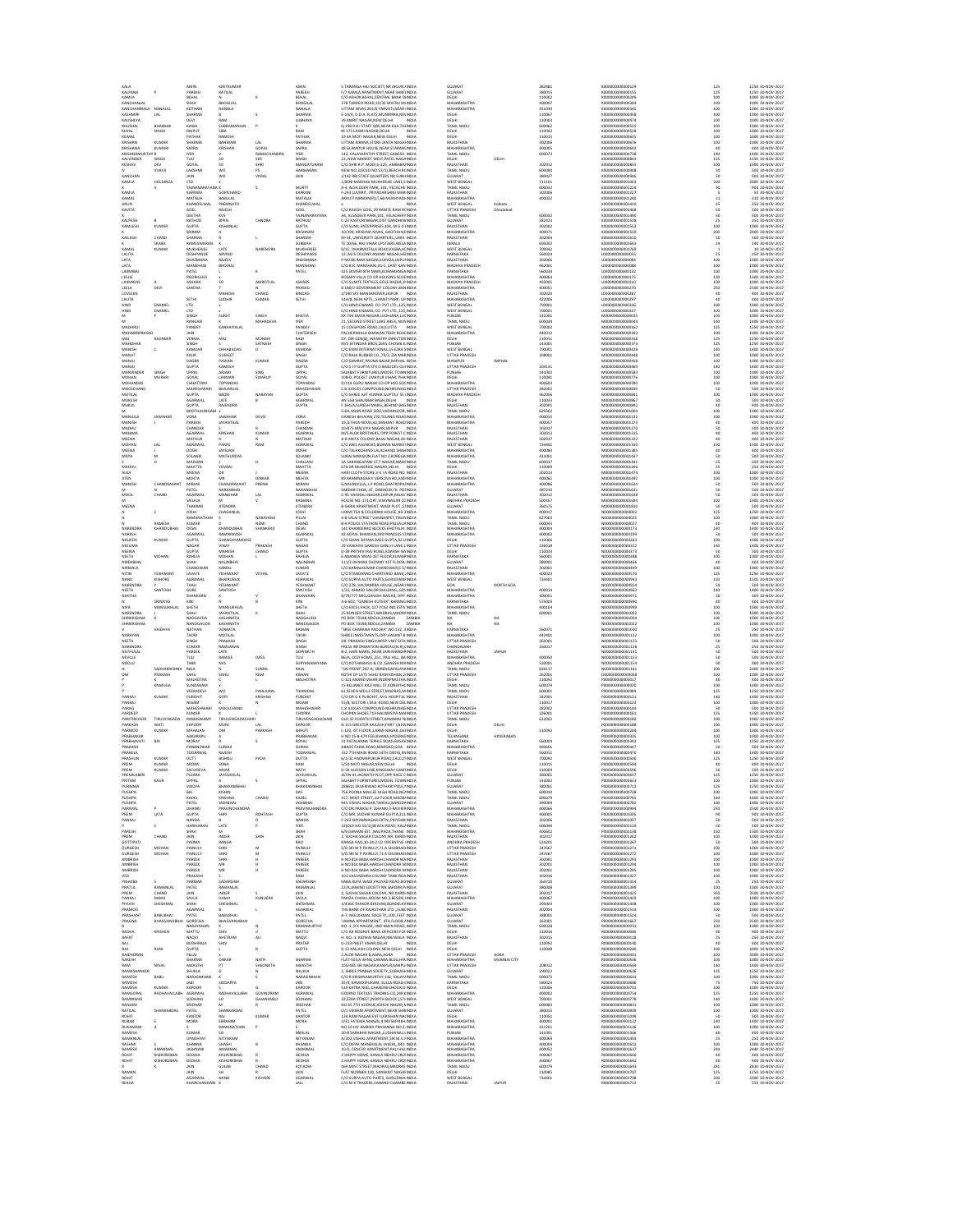| KALA                       |                       | AMIN                            |
|----------------------------|-----------------------|---------------------------------|
| KALPANA                    |                       | PAREKH                          |
| KAMLA<br>KANCHANLAI        |                       | BEHAL<br>SHAH                   |
| KANCHANMALA NANALAL        |                       | KOTHARI                         |
| KASHMIRI                   | LAL                   | SHARMA                          |
| KAUSHLYA                   |                       | DEVI                            |
| KHUSHAL<br>KHYAL           | BHAIBHAI<br>SINGH     | KAWA<br>RAIPUT                  |
| KOMAL                      |                       | PATHAK                          |
| KRISHAN                    | <b>KLIMAS</b>         | SHARMA                          |
| KRISHANA                   | KUMARI                | SAPRA                           |
| KRISHNAMURTH<br>KALVINDER  | SINGH                 | <b>IYER</b>                     |
| KESHAV                     | DEV                   | TULI<br>GOYAL                   |
|                            | VUAYA                 | LAKSHMI                         |
| KANCHAN                    |                       | JAIN                            |
| KAMLA                      | <b>HOLDINGS</b>       | LTD                             |
| KAMLA                      |                       | YAJNANARAY<br>KAPRANI           |
| KAMAL                      |                       | MATALIA                         |
| ARUN                       |                       | KHANDELWAL                      |
| KAWTA                      |                       | GOEL                            |
| KALPESH                    |                       | GEETHA<br>RATHOD                |
| KAMLESH                    | KUMAF                 | <b>GUPTA</b>                    |
|                            |                       | SRIRAM                          |
| KAILASH                    | CHAND                 | SHARMA                          |
| KAMAL                      | SKARA<br>KUMAR        | RAMESWARAN<br>MUKHERJEE         |
| LALITA                     |                       | DESHPANDE                       |
| LATA                       |                       | DHASMANA                        |
| LATA                       |                       | MANSHANI                        |
| LAXMIBAI                   |                       | PATEL                           |
| LESLIE<br>LAXMIDAS         |                       | RODRIGUES<br><b>ASHARA</b>      |
| LEELA                      | DEVI                  | SAXENA                          |
| LOVLEEN                    |                       |                                 |
| LALITA                     | ENAMEL                | SETHI                           |
| HIND<br>HIND               | ENAMEL                | LTD<br>LTD                      |
| M                          |                       | SINGH                           |
| M                          |                       | RANGAN                          |
| MADHRUI                    |                       | PANDEY                          |
| MAHABIRPRASAD<br>MAI       | RAJINDER              | JAIN<br>VERMA                   |
| MAHDHAF                    |                       | SINGH                           |
| MANISH                     | c                     | KAMDAR                          |
| MANJIT<br>MANJU            |                       | KAUR<br>DAGRA                   |
| MANJU                      |                       | GUPTA                           |
| MANVINDER                  | SINGH                 | <b>UPPAL</b>                    |
| MOHAN                      | MURARI                | GOYAL                           |
| MOHANDAS<br>MOOLCHAND      |                       | CHHATTAN<br>MAHESHWARI          |
| MOTILAL                    |                       | <b>GUPTA</b>                    |
| MUKESH                     |                       | <b>AGARWAL</b>                  |
| <b>MUKUL</b>               |                       | <b>GUPTA</b>                    |
| MANJULA                    | <b>JAWAHAR</b>        | BOOTHALINGA<br>VORA             |
| MANISH                     |                       | PAREKH                          |
| MADHU                      |                       | CHANDAH                         |
| MAHIMA                     |                       | AGARWAL                         |
| MEENA<br>MOHAN             | LAL                   | MATHUR<br>AGRAWAL               |
| MEENA                      |                       | DOSHI                           |
| MAYA                       | M                     | SOLANKI                         |
|                            |                       | MADHAN                          |
| MADHU<br>ALKA              |                       | MAHTTA<br>MEENA                 |
| JITEN                      |                       | MEHTA                           |
| MANISH                     | CHANDRAKANT           | MIRANI                          |
| м                          |                       | PATEL                           |
| <b>MOOL</b>                | CHAND                 | AGARWAL                         |
| M<br>MEENA                 |                       | SAILAJA<br>THAKRAS              |
|                            | c                     | <b>JOSHI</b>                    |
|                            |                       | RAMANATHAN                      |
|                            | RAMESH                | <b>KUMAR</b>                    |
| NARENDRA<br>NARESH         | <b>KHANDUBHA</b>      | DESAI<br>AGARWAL                |
| NAUEEN                     | KUMAR                 | <b>GUPTA</b>                    |
| NEELIMA                    |                       | NAGAR                           |
| NEERJA                     |                       | <b>GUPTA</b>                    |
| NEETA<br>NIRENBHAI         | MOHAN                 | RAHEJA<br>SHAH                  |
| NIRMALA                    |                       | CHANDWAF                        |
| NITIN                      | YESHWANT              | LAVATE                          |
|                            |                       |                                 |
| NAND                       | KISHORE               | AGRAWAL                         |
| NARENDRA                   |                       | THALI                           |
| NEETA<br>NIHITHA           | SANTOSH               | GORE<br>SHANKARN                |
|                            | SRINIVAS              | KINI                            |
| <b>NIPA</b>                | MANSUKHLA             | SHETH                           |
| NARENDRA                   |                       | SHAH                            |
| SHRIKRISHNA<br>SHRIKRISHNA |                       | NADGAVDA<br>NANDGAUDA           |
|                            | VAIDHY/               | NATHAN                          |
| NARAYAN                    |                       | TAORI                           |
| NEETA                      |                       | SINGH                           |
| NARENDRA<br>NATHULAL       |                       | KUMAR<br>PAREEK                 |
| NEVILLE                    |                       | TULI                            |
| NOOLU                      |                       | TARA                            |
|                            | SADHAKRISHNA          | RAJA                            |
| OM                         | PRAKASH               | SAHU<br>MALHOTRA                |
|                            | KNMUGA                | SUNDARAM                        |
|                            |                       | VEERADEVI                       |
| PANKAJ                     | KUMAR                 | PUROHIT                         |
| PANKAJ<br>PARAG            |                       | <b>NIGAM</b><br>MAHESHWARI      |
| PARDEER                    |                       | KUMAR                           |
| PARITHICHERI               | TIRUVCNGAD/           | RAMASWAMY                       |
| PARKASH<br>PARMOD          | WATI                  | KAPOOR<br>MAHAJAN               |
| PRABHAKAF                  | KUMAF                 | AAKARAPU                        |
| PRABHAVAT                  | BAI                   | MORAY                           |
| PRAKASH                    |                       | PANANDIKAR                      |
| PRAMILA                    | KUMAR                 | TODARWAL                        |
| PRASHUN<br>PREM            | KUMAR                 | DUTT<br>ARORA                   |
| PREM                       | KUMAR                 | SACHDEVA                        |
| PREMILABER<br>PRITAM       | KAUR                  | PUJARA<br><b>UPPAL</b>          |
| PURNIMA                    |                       | VAIDYA                          |
| PUSHPA                     |                       | BAI                             |
| PUSHPA                     |                       | KADEL                           |
| PUSHPA<br>PARIMAL          |                       | PATEL<br>DHANKI                 |
| PREM                       | LATA                  | <b>GUPTA</b>                    |
| PANKAJ                     |                       | NANDA                           |
|                            | $\leq$                | HARIHARAN                       |
| PARESH<br>PREM             | CHAND                 | SHAH<br>JAIN                    |
| GOTTIPATI                  |                       | PADMA                           |
| DURGESH                    | MOHAN                 | PAINULY                         |
| DURGESH                    | MOHAN                 | PAINULY                         |
| AMBRISH<br>AMBRISH         |                       | PAREEK<br>PAREEK                |
| AMBRISH                    |                       | PARFFK                          |
| VED                        |                       | PRAKASH                         |
| PINAKBA                    |                       | PARMAR                          |
| PRATUL                     | RAMANLAL              | PATEL                           |
| PREM<br>PANKAJ             | CHAND<br>DAMIL        | JAIN<br>SAVLA                   |
| PIYUSH                     | SHESHMAL              | SHAH                            |
| PRAMOD                     |                       | AGARWAL                         |
| PRASHANT                   | <b>BABUBHAI</b>       | PATEL                           |
| PRAGNA                     | BHAGVANJIBHAI GORECHA | NARAYANAN                       |
| RADHA                      | KRISHEN               | MATTU                           |
| RAFAT                      |                       | NAQVI                           |
| RAJ                        |                       | BUDHIRAJA                       |
| RAJ<br>RAJENDRAN           | RANI                  | <b>GUPTA</b><br>PILLAI          |
| RAKESH                     |                       | SHARMA                          |
| RAM                        | NIVAS                 | AWASTHI                         |
| RAMASHANKEI                |                       | SHUKLA                          |
| RAMESH<br>RAMESH           | BABU                  | NARASIMHAN<br><b>JABI</b>       |
| RAMESH                     | KUMAR                 | KAPOOR                          |
| RAMGOPAL                   | RADHAVALLABH          | AGRAWAL                         |
| RAMNIWAS                   |                       | SODHAN<br><b>SRIDHAR</b>        |
| RANJANI<br>RATILAL         | SHANKARDAS            | PATEL                           |
| ROHIT                      |                       | KANTOR                          |
| <b>RUBAB</b>               |                       | MORA                            |
| RUKAMANI                   |                       |                                 |
| RAMESH<br>RAMANI AL        |                       | <b>KUMAR</b><br><b>UPADHYAY</b> |
| RASHMI                     |                       | KHANNA                          |
| RAMESH                     | AMANMAL               | <b>JASHNANI</b>                 |
| ROHIT                      | KISHOREBHA            | DEDHIA                          |
| ROHIT                      | KISHOREBHA            | DEDHIA<br><b>JAIN</b>           |
| RAMAN                      |                       | JAIN                            |
| ROHIT<br>REKHA             |                       | AGARWAL<br>KHANCHANDANI         |